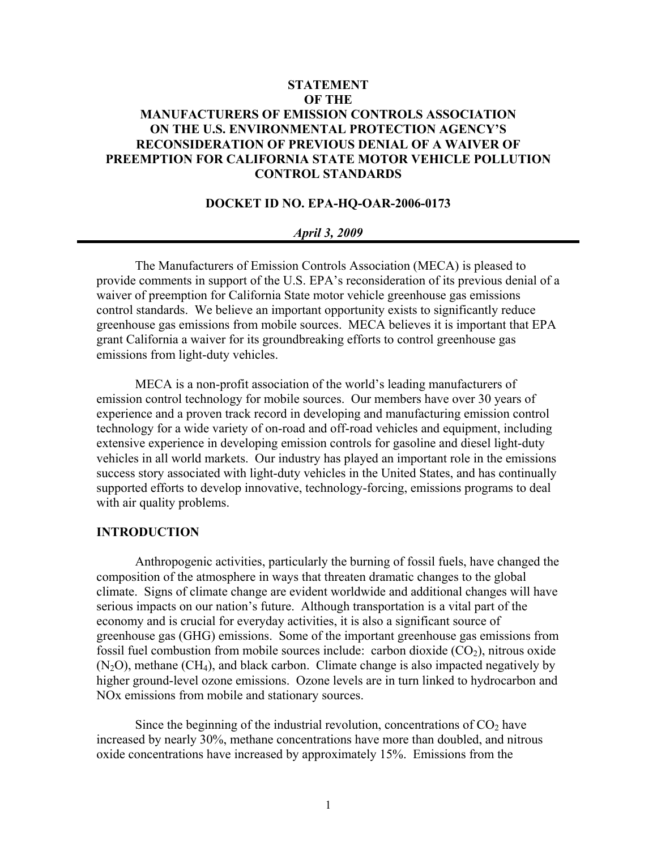# **STATEMENT OF THE MANUFACTURERS OF EMISSION CONTROLS ASSOCIATION ON THE U.S. ENVIRONMENTAL PROTECTION AGENCY'S RECONSIDERATION OF PREVIOUS DENIAL OF A WAIVER OF PREEMPTION FOR CALIFORNIA STATE MOTOR VEHICLE POLLUTION CONTROL STANDARDS**

## **DOCKET ID NO. EPA-HQ-OAR-2006-0173**

#### *April 3, 2009*

The Manufacturers of Emission Controls Association (MECA) is pleased to provide comments in support of the U.S. EPA's reconsideration of its previous denial of a waiver of preemption for California State motor vehicle greenhouse gas emissions control standards. We believe an important opportunity exists to significantly reduce greenhouse gas emissions from mobile sources. MECA believes it is important that EPA grant California a waiver for its groundbreaking efforts to control greenhouse gas emissions from light-duty vehicles.

MECA is a non-profit association of the world's leading manufacturers of emission control technology for mobile sources. Our members have over 30 years of experience and a proven track record in developing and manufacturing emission control technology for a wide variety of on-road and off-road vehicles and equipment, including extensive experience in developing emission controls for gasoline and diesel light-duty vehicles in all world markets. Our industry has played an important role in the emissions success story associated with light-duty vehicles in the United States, and has continually supported efforts to develop innovative, technology-forcing, emissions programs to deal with air quality problems.

## **INTRODUCTION**

Anthropogenic activities, particularly the burning of fossil fuels, have changed the composition of the atmosphere in ways that threaten dramatic changes to the global climate. Signs of climate change are evident worldwide and additional changes will have serious impacts on our nation's future. Although transportation is a vital part of the economy and is crucial for everyday activities, it is also a significant source of greenhouse gas (GHG) emissions. Some of the important greenhouse gas emissions from fossil fuel combustion from mobile sources include: carbon dioxide  $(CO<sub>2</sub>)$ , nitrous oxide  $(N<sub>2</sub>O)$ , methane  $(CH<sub>4</sub>)$ , and black carbon. Climate change is also impacted negatively by higher ground-level ozone emissions. Ozone levels are in turn linked to hydrocarbon and NOx emissions from mobile and stationary sources.

Since the beginning of the industrial revolution, concentrations of  $CO<sub>2</sub>$  have increased by nearly 30%, methane concentrations have more than doubled, and nitrous oxide concentrations have increased by approximately 15%. Emissions from the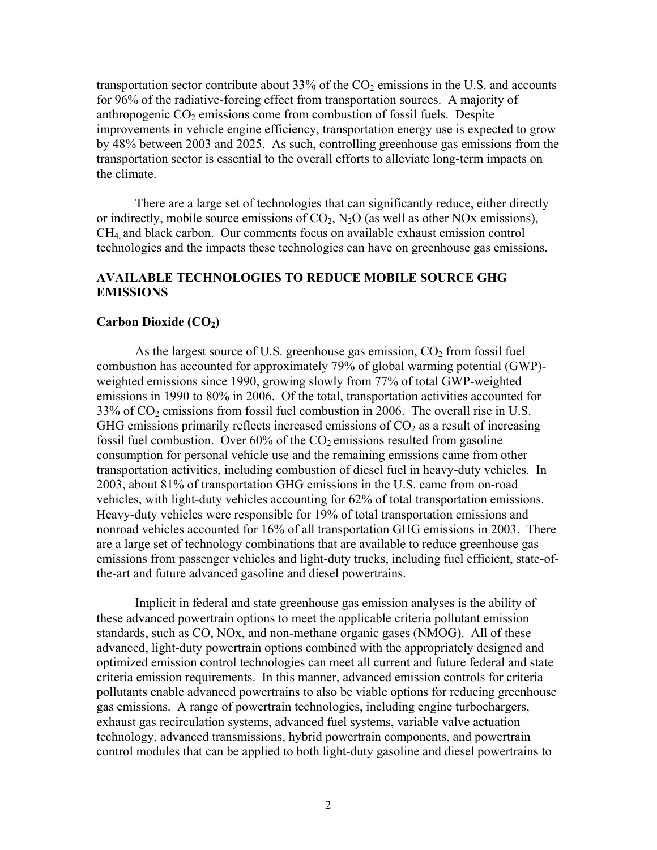transportation sector contribute about 33% of the  $CO<sub>2</sub>$  emissions in the U.S. and accounts for 96% of the radiative-forcing effect from transportation sources. A majority of anthropogenic  $CO<sub>2</sub>$  emissions come from combustion of fossil fuels. Despite improvements in vehicle engine efficiency, transportation energy use is expected to grow by 48% between 2003 and 2025. As such, controlling greenhouse gas emissions from the transportation sector is essential to the overall efforts to alleviate long-term impacts on the climate.

There are a large set of technologies that can significantly reduce, either directly or indirectly, mobile source emissions of  $CO_2$ ,  $N_2O$  (as well as other NOx emissions), CH4, and black carbon. Our comments focus on available exhaust emission control technologies and the impacts these technologies can have on greenhouse gas emissions.

# **AVAILABLE TECHNOLOGIES TO REDUCE MOBILE SOURCE GHG EMISSIONS**

### **Carbon Dioxide (CO<sub>2</sub>)**

As the largest source of U.S. greenhouse gas emission,  $CO<sub>2</sub>$  from fossil fuel combustion has accounted for approximately 79% of global warming potential (GWP) weighted emissions since 1990, growing slowly from 77% of total GWP-weighted emissions in 1990 to 80% in 2006. Of the total, transportation activities accounted for  $33\%$  of  $CO<sub>2</sub>$  emissions from fossil fuel combustion in 2006. The overall rise in U.S. GHG emissions primarily reflects increased emissions of  $CO<sub>2</sub>$  as a result of increasing fossil fuel combustion. Over  $60\%$  of the  $CO<sub>2</sub>$  emissions resulted from gasoline consumption for personal vehicle use and the remaining emissions came from other transportation activities, including combustion of diesel fuel in heavy-duty vehicles. In 2003, about 81% of transportation GHG emissions in the U.S. came from on-road vehicles, with light-duty vehicles accounting for 62% of total transportation emissions. Heavy-duty vehicles were responsible for 19% of total transportation emissions and nonroad vehicles accounted for 16% of all transportation GHG emissions in 2003. There are a large set of technology combinations that are available to reduce greenhouse gas emissions from passenger vehicles and light-duty trucks, including fuel efficient, state-ofthe-art and future advanced gasoline and diesel powertrains.

Implicit in federal and state greenhouse gas emission analyses is the ability of these advanced powertrain options to meet the applicable criteria pollutant emission standards, such as CO, NOx, and non-methane organic gases (NMOG). All of these advanced, light-duty powertrain options combined with the appropriately designed and optimized emission control technologies can meet all current and future federal and state criteria emission requirements. In this manner, advanced emission controls for criteria pollutants enable advanced powertrains to also be viable options for reducing greenhouse gas emissions. A range of powertrain technologies, including engine turbochargers, exhaust gas recirculation systems, advanced fuel systems, variable valve actuation technology, advanced transmissions, hybrid powertrain components, and powertrain control modules that can be applied to both light-duty gasoline and diesel powertrains to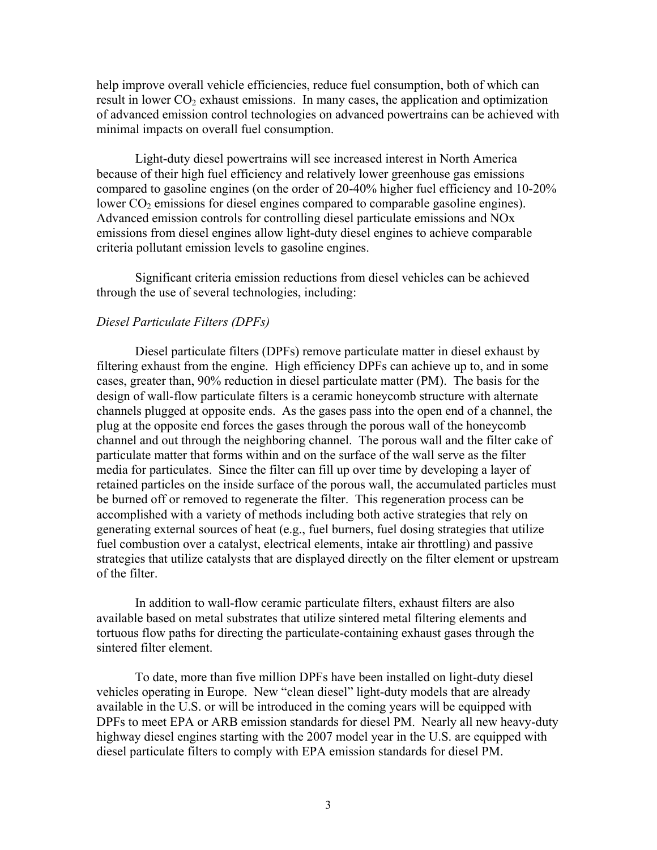help improve overall vehicle efficiencies, reduce fuel consumption, both of which can result in lower  $CO<sub>2</sub>$  exhaust emissions. In many cases, the application and optimization of advanced emission control technologies on advanced powertrains can be achieved with minimal impacts on overall fuel consumption.

 Light-duty diesel powertrains will see increased interest in North America because of their high fuel efficiency and relatively lower greenhouse gas emissions compared to gasoline engines (on the order of 20-40% higher fuel efficiency and 10-20% lower  $CO<sub>2</sub>$  emissions for diesel engines compared to comparable gasoline engines). Advanced emission controls for controlling diesel particulate emissions and NOx emissions from diesel engines allow light-duty diesel engines to achieve comparable criteria pollutant emission levels to gasoline engines.

Significant criteria emission reductions from diesel vehicles can be achieved through the use of several technologies, including:

## *Diesel Particulate Filters (DPFs)*

Diesel particulate filters (DPFs) remove particulate matter in diesel exhaust by filtering exhaust from the engine. High efficiency DPFs can achieve up to, and in some cases, greater than, 90% reduction in diesel particulate matter (PM). The basis for the design of wall-flow particulate filters is a ceramic honeycomb structure with alternate channels plugged at opposite ends. As the gases pass into the open end of a channel, the plug at the opposite end forces the gases through the porous wall of the honeycomb channel and out through the neighboring channel. The porous wall and the filter cake of particulate matter that forms within and on the surface of the wall serve as the filter media for particulates. Since the filter can fill up over time by developing a layer of retained particles on the inside surface of the porous wall, the accumulated particles must be burned off or removed to regenerate the filter. This regeneration process can be accomplished with a variety of methods including both active strategies that rely on generating external sources of heat (e.g., fuel burners, fuel dosing strategies that utilize fuel combustion over a catalyst, electrical elements, intake air throttling) and passive strategies that utilize catalysts that are displayed directly on the filter element or upstream of the filter.

In addition to wall-flow ceramic particulate filters, exhaust filters are also available based on metal substrates that utilize sintered metal filtering elements and tortuous flow paths for directing the particulate-containing exhaust gases through the sintered filter element.

To date, more than five million DPFs have been installed on light-duty diesel vehicles operating in Europe. New "clean diesel" light-duty models that are already available in the U.S. or will be introduced in the coming years will be equipped with DPFs to meet EPA or ARB emission standards for diesel PM. Nearly all new heavy-duty highway diesel engines starting with the 2007 model year in the U.S. are equipped with diesel particulate filters to comply with EPA emission standards for diesel PM.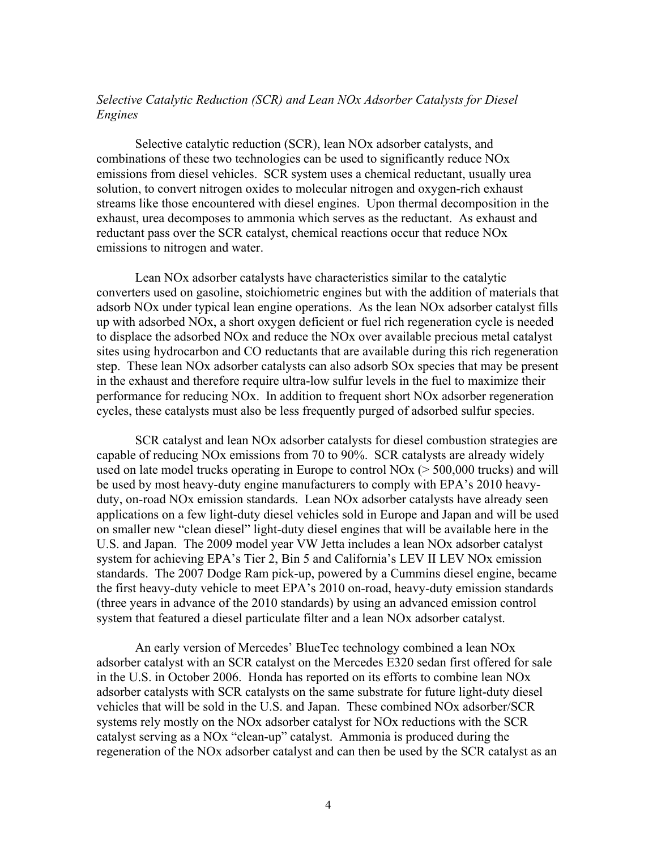# *Selective Catalytic Reduction (SCR) and Lean NOx Adsorber Catalysts for Diesel Engines*

Selective catalytic reduction (SCR), lean NOx adsorber catalysts, and combinations of these two technologies can be used to significantly reduce NOx emissions from diesel vehicles. SCR system uses a chemical reductant, usually urea solution, to convert nitrogen oxides to molecular nitrogen and oxygen-rich exhaust streams like those encountered with diesel engines. Upon thermal decomposition in the exhaust, urea decomposes to ammonia which serves as the reductant. As exhaust and reductant pass over the SCR catalyst, chemical reactions occur that reduce NOx emissions to nitrogen and water.

Lean NOx adsorber catalysts have characteristics similar to the catalytic converters used on gasoline, stoichiometric engines but with the addition of materials that adsorb NOx under typical lean engine operations. As the lean NOx adsorber catalyst fills up with adsorbed NOx, a short oxygen deficient or fuel rich regeneration cycle is needed to displace the adsorbed NOx and reduce the NOx over available precious metal catalyst sites using hydrocarbon and CO reductants that are available during this rich regeneration step. These lean NOx adsorber catalysts can also adsorb SOx species that may be present in the exhaust and therefore require ultra-low sulfur levels in the fuel to maximize their performance for reducing NOx. In addition to frequent short NOx adsorber regeneration cycles, these catalysts must also be less frequently purged of adsorbed sulfur species.

SCR catalyst and lean NOx adsorber catalysts for diesel combustion strategies are capable of reducing NOx emissions from 70 to 90%. SCR catalysts are already widely used on late model trucks operating in Europe to control  $NOx$  ( $> 500,000$  trucks) and will be used by most heavy-duty engine manufacturers to comply with EPA's 2010 heavyduty, on-road NOx emission standards. Lean NOx adsorber catalysts have already seen applications on a few light-duty diesel vehicles sold in Europe and Japan and will be used on smaller new "clean diesel" light-duty diesel engines that will be available here in the U.S. and Japan. The 2009 model year VW Jetta includes a lean NOx adsorber catalyst system for achieving EPA's Tier 2, Bin 5 and California's LEV II LEV NOx emission standards. The 2007 Dodge Ram pick-up, powered by a Cummins diesel engine, became the first heavy-duty vehicle to meet EPA's 2010 on-road, heavy-duty emission standards (three years in advance of the 2010 standards) by using an advanced emission control system that featured a diesel particulate filter and a lean NOx adsorber catalyst.

An early version of Mercedes' BlueTec technology combined a lean NOx adsorber catalyst with an SCR catalyst on the Mercedes E320 sedan first offered for sale in the U.S. in October 2006. Honda has reported on its efforts to combine lean NOx adsorber catalysts with SCR catalysts on the same substrate for future light-duty diesel vehicles that will be sold in the U.S. and Japan. These combined NOx adsorber/SCR systems rely mostly on the NOx adsorber catalyst for NOx reductions with the SCR catalyst serving as a NOx "clean-up" catalyst. Ammonia is produced during the regeneration of the NOx adsorber catalyst and can then be used by the SCR catalyst as an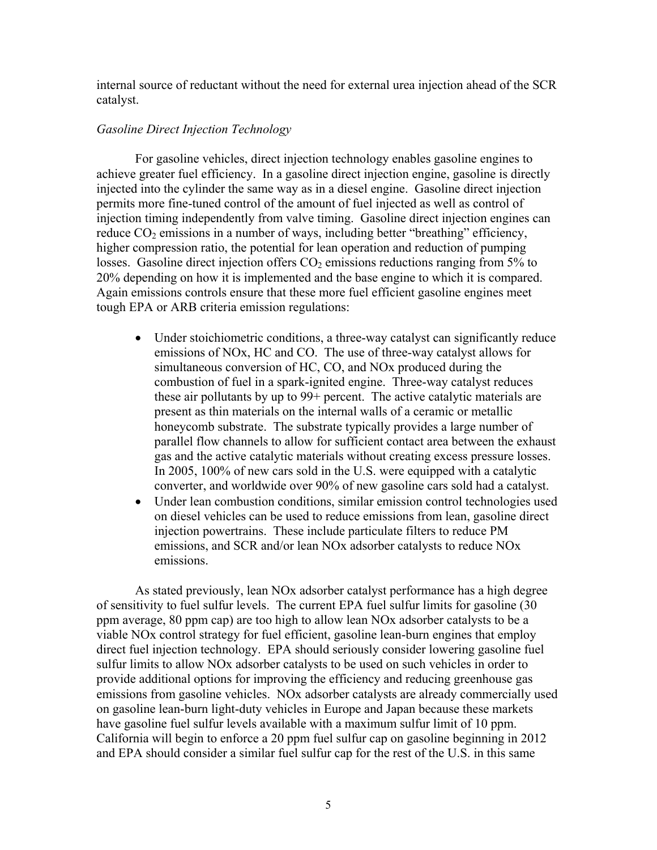internal source of reductant without the need for external urea injection ahead of the SCR catalyst.

### *Gasoline Direct Injection Technology*

For gasoline vehicles, direct injection technology enables gasoline engines to achieve greater fuel efficiency. In a gasoline direct injection engine, gasoline is directly injected into the cylinder the same way as in a diesel engine. Gasoline direct injection permits more fine-tuned control of the amount of fuel injected as well as control of injection timing independently from valve timing. Gasoline direct injection engines can reduce  $CO<sub>2</sub>$  emissions in a number of ways, including better "breathing" efficiency, higher compression ratio, the potential for lean operation and reduction of pumping losses. Gasoline direct injection offers  $CO<sub>2</sub>$  emissions reductions ranging from 5% to 20% depending on how it is implemented and the base engine to which it is compared. Again emissions controls ensure that these more fuel efficient gasoline engines meet tough EPA or ARB criteria emission regulations:

- Under stoichiometric conditions, a three-way catalyst can significantly reduce emissions of NOx, HC and CO. The use of three-way catalyst allows for simultaneous conversion of HC, CO, and NOx produced during the combustion of fuel in a spark-ignited engine. Three-way catalyst reduces these air pollutants by up to 99+ percent. The active catalytic materials are present as thin materials on the internal walls of a ceramic or metallic honeycomb substrate. The substrate typically provides a large number of parallel flow channels to allow for sufficient contact area between the exhaust gas and the active catalytic materials without creating excess pressure losses. In 2005, 100% of new cars sold in the U.S. were equipped with a catalytic converter, and worldwide over 90% of new gasoline cars sold had a catalyst.
- Under lean combustion conditions, similar emission control technologies used on diesel vehicles can be used to reduce emissions from lean, gasoline direct injection powertrains. These include particulate filters to reduce PM emissions, and SCR and/or lean NOx adsorber catalysts to reduce NOx emissions.

 As stated previously, lean NOx adsorber catalyst performance has a high degree of sensitivity to fuel sulfur levels. The current EPA fuel sulfur limits for gasoline (30 ppm average, 80 ppm cap) are too high to allow lean NOx adsorber catalysts to be a viable NOx control strategy for fuel efficient, gasoline lean-burn engines that employ direct fuel injection technology. EPA should seriously consider lowering gasoline fuel sulfur limits to allow NOx adsorber catalysts to be used on such vehicles in order to provide additional options for improving the efficiency and reducing greenhouse gas emissions from gasoline vehicles. NOx adsorber catalysts are already commercially used on gasoline lean-burn light-duty vehicles in Europe and Japan because these markets have gasoline fuel sulfur levels available with a maximum sulfur limit of 10 ppm. California will begin to enforce a 20 ppm fuel sulfur cap on gasoline beginning in 2012 and EPA should consider a similar fuel sulfur cap for the rest of the U.S. in this same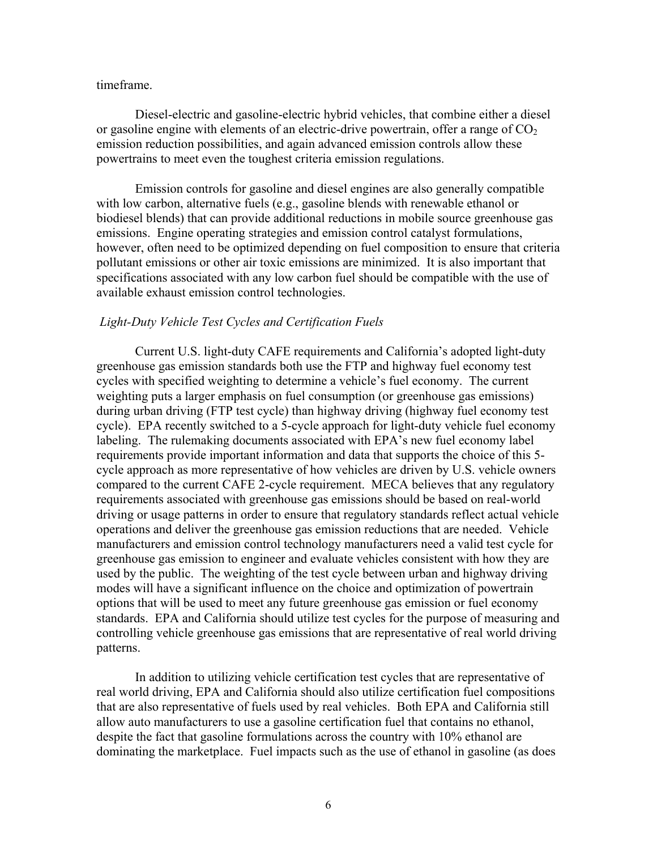#### timeframe.

Diesel-electric and gasoline-electric hybrid vehicles, that combine either a diesel or gasoline engine with elements of an electric-drive powertrain, offer a range of  $CO<sub>2</sub>$ emission reduction possibilities, and again advanced emission controls allow these powertrains to meet even the toughest criteria emission regulations.

Emission controls for gasoline and diesel engines are also generally compatible with low carbon, alternative fuels (e.g., gasoline blends with renewable ethanol or biodiesel blends) that can provide additional reductions in mobile source greenhouse gas emissions. Engine operating strategies and emission control catalyst formulations, however, often need to be optimized depending on fuel composition to ensure that criteria pollutant emissions or other air toxic emissions are minimized. It is also important that specifications associated with any low carbon fuel should be compatible with the use of available exhaust emission control technologies.

#### *Light-Duty Vehicle Test Cycles and Certification Fuels*

 Current U.S. light-duty CAFE requirements and California's adopted light-duty greenhouse gas emission standards both use the FTP and highway fuel economy test cycles with specified weighting to determine a vehicle's fuel economy. The current weighting puts a larger emphasis on fuel consumption (or greenhouse gas emissions) during urban driving (FTP test cycle) than highway driving (highway fuel economy test cycle). EPA recently switched to a 5-cycle approach for light-duty vehicle fuel economy labeling. The rulemaking documents associated with EPA's new fuel economy label requirements provide important information and data that supports the choice of this 5 cycle approach as more representative of how vehicles are driven by U.S. vehicle owners compared to the current CAFE 2-cycle requirement. MECA believes that any regulatory requirements associated with greenhouse gas emissions should be based on real-world driving or usage patterns in order to ensure that regulatory standards reflect actual vehicle operations and deliver the greenhouse gas emission reductions that are needed. Vehicle manufacturers and emission control technology manufacturers need a valid test cycle for greenhouse gas emission to engineer and evaluate vehicles consistent with how they are used by the public. The weighting of the test cycle between urban and highway driving modes will have a significant influence on the choice and optimization of powertrain options that will be used to meet any future greenhouse gas emission or fuel economy standards. EPA and California should utilize test cycles for the purpose of measuring and controlling vehicle greenhouse gas emissions that are representative of real world driving patterns.

 In addition to utilizing vehicle certification test cycles that are representative of real world driving, EPA and California should also utilize certification fuel compositions that are also representative of fuels used by real vehicles. Both EPA and California still allow auto manufacturers to use a gasoline certification fuel that contains no ethanol, despite the fact that gasoline formulations across the country with 10% ethanol are dominating the marketplace. Fuel impacts such as the use of ethanol in gasoline (as does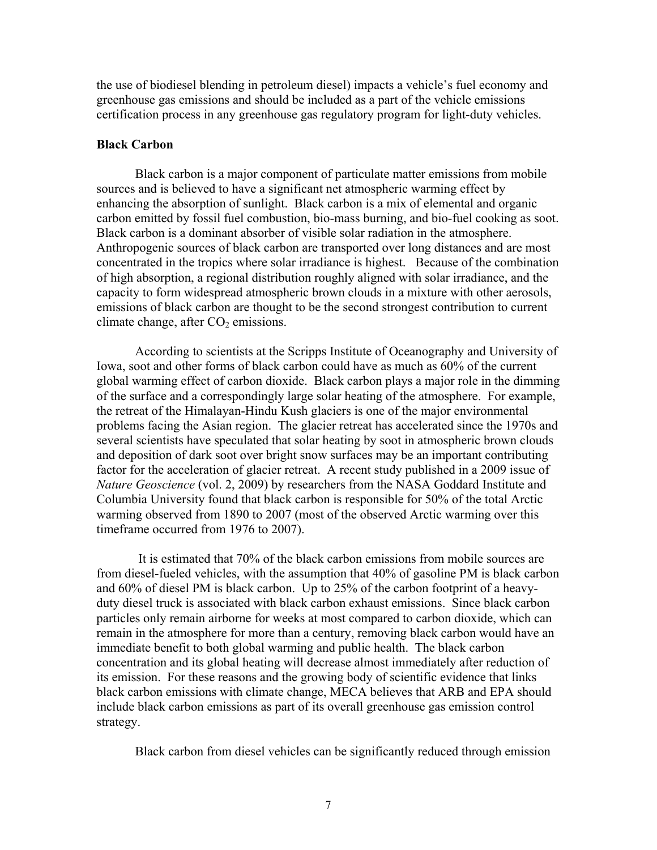the use of biodiesel blending in petroleum diesel) impacts a vehicle's fuel economy and greenhouse gas emissions and should be included as a part of the vehicle emissions certification process in any greenhouse gas regulatory program for light-duty vehicles.

### **Black Carbon**

Black carbon is a major component of particulate matter emissions from mobile sources and is believed to have a significant net atmospheric warming effect by enhancing the absorption of sunlight. Black carbon is a mix of elemental and organic carbon emitted by fossil fuel combustion, bio-mass burning, and bio-fuel cooking as soot. Black carbon is a dominant absorber of visible solar radiation in the atmosphere. Anthropogenic sources of black carbon are transported over long distances and are most concentrated in the tropics where solar irradiance is highest. Because of the combination of high absorption, a regional distribution roughly aligned with solar irradiance, and the capacity to form widespread atmospheric brown clouds in a mixture with other aerosols, emissions of black carbon are thought to be the second strongest contribution to current climate change, after  $CO<sub>2</sub>$  emissions.

According to scientists at the Scripps Institute of Oceanography and University of Iowa, soot and other forms of black carbon could have as much as 60% of the current global warming effect of carbon dioxide. Black carbon plays a major role in the dimming of the surface and a correspondingly large solar heating of the atmosphere. For example, the retreat of the Himalayan-Hindu Kush glaciers is one of the major environmental problems facing the Asian region. The glacier retreat has accelerated since the 1970s and several scientists have speculated that solar heating by soot in atmospheric brown clouds and deposition of dark soot over bright snow surfaces may be an important contributing factor for the acceleration of glacier retreat. A recent study published in a 2009 issue of *Nature Geoscience* (vol. 2, 2009) by researchers from the NASA Goddard Institute and Columbia University found that black carbon is responsible for 50% of the total Arctic warming observed from 1890 to 2007 (most of the observed Arctic warming over this timeframe occurred from 1976 to 2007).

 It is estimated that 70% of the black carbon emissions from mobile sources are from diesel-fueled vehicles, with the assumption that 40% of gasoline PM is black carbon and 60% of diesel PM is black carbon. Up to 25% of the carbon footprint of a heavyduty diesel truck is associated with black carbon exhaust emissions. Since black carbon particles only remain airborne for weeks at most compared to carbon dioxide, which can remain in the atmosphere for more than a century, removing black carbon would have an immediate benefit to both global warming and public health. The black carbon concentration and its global heating will decrease almost immediately after reduction of its emission. For these reasons and the growing body of scientific evidence that links black carbon emissions with climate change, MECA believes that ARB and EPA should include black carbon emissions as part of its overall greenhouse gas emission control strategy.

Black carbon from diesel vehicles can be significantly reduced through emission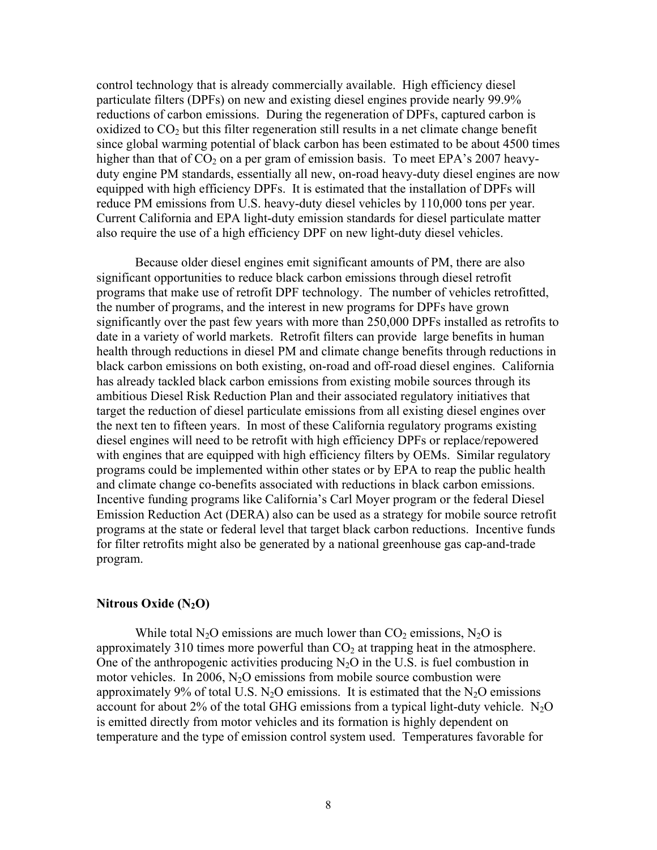control technology that is already commercially available. High efficiency diesel particulate filters (DPFs) on new and existing diesel engines provide nearly 99.9% reductions of carbon emissions. During the regeneration of DPFs, captured carbon is oxidized to  $CO<sub>2</sub>$  but this filter regeneration still results in a net climate change benefit since global warming potential of black carbon has been estimated to be about 4500 times higher than that of  $CO<sub>2</sub>$  on a per gram of emission basis. To meet EPA's 2007 heavyduty engine PM standards, essentially all new, on-road heavy-duty diesel engines are now equipped with high efficiency DPFs. It is estimated that the installation of DPFs will reduce PM emissions from U.S. heavy-duty diesel vehicles by 110,000 tons per year. Current California and EPA light-duty emission standards for diesel particulate matter also require the use of a high efficiency DPF on new light-duty diesel vehicles.

Because older diesel engines emit significant amounts of PM, there are also significant opportunities to reduce black carbon emissions through diesel retrofit programs that make use of retrofit DPF technology. The number of vehicles retrofitted, the number of programs, and the interest in new programs for DPFs have grown significantly over the past few years with more than 250,000 DPFs installed as retrofits to date in a variety of world markets. Retrofit filters can provide large benefits in human health through reductions in diesel PM and climate change benefits through reductions in black carbon emissions on both existing, on-road and off-road diesel engines. California has already tackled black carbon emissions from existing mobile sources through its ambitious Diesel Risk Reduction Plan and their associated regulatory initiatives that target the reduction of diesel particulate emissions from all existing diesel engines over the next ten to fifteen years. In most of these California regulatory programs existing diesel engines will need to be retrofit with high efficiency DPFs or replace/repowered with engines that are equipped with high efficiency filters by OEMs. Similar regulatory programs could be implemented within other states or by EPA to reap the public health and climate change co-benefits associated with reductions in black carbon emissions. Incentive funding programs like California's Carl Moyer program or the federal Diesel Emission Reduction Act (DERA) also can be used as a strategy for mobile source retrofit programs at the state or federal level that target black carbon reductions. Incentive funds for filter retrofits might also be generated by a national greenhouse gas cap-and-trade program.

### **Nitrous Oxide (N2O)**

While total N<sub>2</sub>O emissions are much lower than  $CO<sub>2</sub>$  emissions, N<sub>2</sub>O is approximately 310 times more powerful than  $CO<sub>2</sub>$  at trapping heat in the atmosphere. One of the anthropogenic activities producing  $N_2O$  in the U.S. is fuel combustion in motor vehicles. In 2006,  $N_2O$  emissions from mobile source combustion were approximately 9% of total U.S.  $N_2O$  emissions. It is estimated that the  $N_2O$  emissions account for about 2% of the total GHG emissions from a typical light-duty vehicle.  $N_2O$ is emitted directly from motor vehicles and its formation is highly dependent on temperature and the type of emission control system used. Temperatures favorable for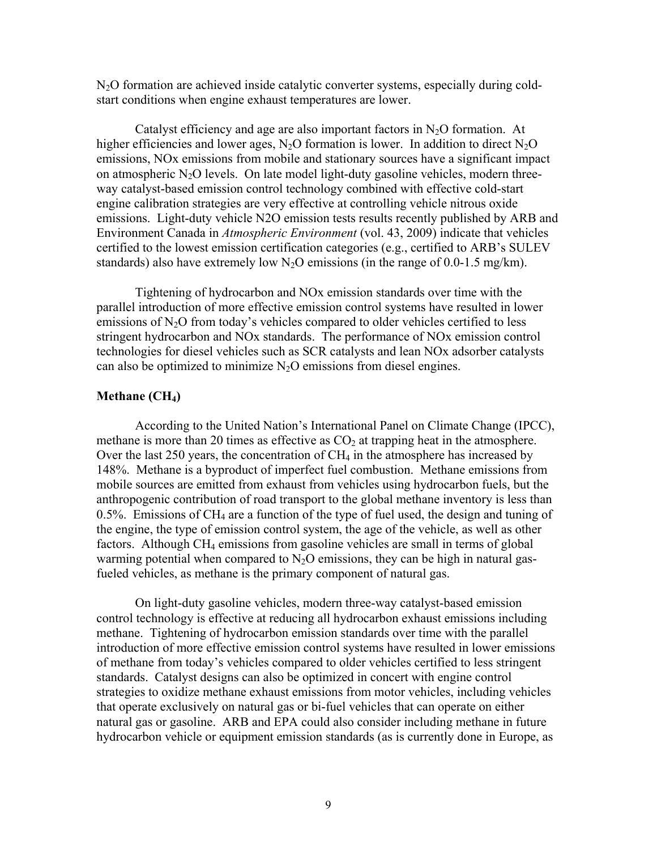N2O formation are achieved inside catalytic converter systems, especially during coldstart conditions when engine exhaust temperatures are lower.

Catalyst efficiency and age are also important factors in  $N_2O$  formation. At higher efficiencies and lower ages, N<sub>2</sub>O formation is lower. In addition to direct N<sub>2</sub>O emissions, NOx emissions from mobile and stationary sources have a significant impact on atmospheric  $N_2O$  levels. On late model light-duty gasoline vehicles, modern threeway catalyst-based emission control technology combined with effective cold-start engine calibration strategies are very effective at controlling vehicle nitrous oxide emissions. Light-duty vehicle N2O emission tests results recently published by ARB and Environment Canada in *Atmospheric Environment* (vol. 43, 2009) indicate that vehicles certified to the lowest emission certification categories (e.g., certified to ARB's SULEV standards) also have extremely low  $N_2O$  emissions (in the range of 0.0-1.5 mg/km).

Tightening of hydrocarbon and NOx emission standards over time with the parallel introduction of more effective emission control systems have resulted in lower emissions of  $N<sub>2</sub>O$  from today's vehicles compared to older vehicles certified to less stringent hydrocarbon and NOx standards. The performance of NOx emission control technologies for diesel vehicles such as SCR catalysts and lean NOx adsorber catalysts can also be optimized to minimize  $N_2O$  emissions from diesel engines.

#### **Methane (CH<sub>4</sub>)**

According to the United Nation's International Panel on Climate Change (IPCC), methane is more than 20 times as effective as  $CO<sub>2</sub>$  at trapping heat in the atmosphere. Over the last 250 years, the concentration of  $CH_4$  in the atmosphere has increased by 148%. Methane is a byproduct of imperfect fuel combustion. Methane emissions from mobile sources are emitted from exhaust from vehicles using hydrocarbon fuels, but the anthropogenic contribution of road transport to the global methane inventory is less than 0.5%. Emissions of CH4 are a function of the type of fuel used, the design and tuning of the engine, the type of emission control system, the age of the vehicle, as well as other factors. Although CH4 emissions from gasoline vehicles are small in terms of global warming potential when compared to  $N<sub>2</sub>O$  emissions, they can be high in natural gasfueled vehicles, as methane is the primary component of natural gas.

On light-duty gasoline vehicles, modern three-way catalyst-based emission control technology is effective at reducing all hydrocarbon exhaust emissions including methane. Tightening of hydrocarbon emission standards over time with the parallel introduction of more effective emission control systems have resulted in lower emissions of methane from today's vehicles compared to older vehicles certified to less stringent standards. Catalyst designs can also be optimized in concert with engine control strategies to oxidize methane exhaust emissions from motor vehicles, including vehicles that operate exclusively on natural gas or bi-fuel vehicles that can operate on either natural gas or gasoline. ARB and EPA could also consider including methane in future hydrocarbon vehicle or equipment emission standards (as is currently done in Europe, as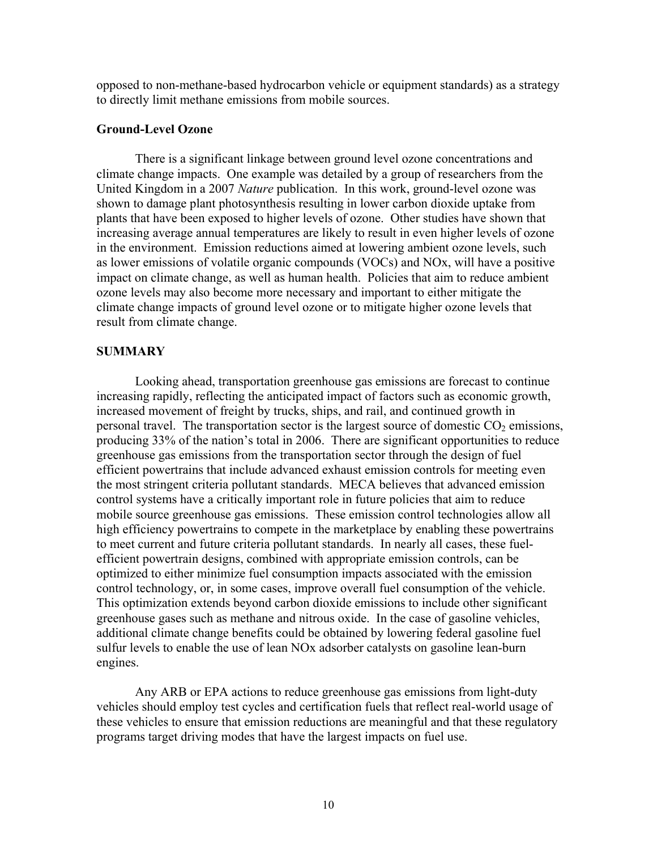opposed to non-methane-based hydrocarbon vehicle or equipment standards) as a strategy to directly limit methane emissions from mobile sources.

### **Ground-Level Ozone**

 There is a significant linkage between ground level ozone concentrations and climate change impacts. One example was detailed by a group of researchers from the United Kingdom in a 2007 *Nature* publication. In this work, ground-level ozone was shown to damage plant photosynthesis resulting in lower carbon dioxide uptake from plants that have been exposed to higher levels of ozone. Other studies have shown that increasing average annual temperatures are likely to result in even higher levels of ozone in the environment. Emission reductions aimed at lowering ambient ozone levels, such as lower emissions of volatile organic compounds (VOCs) and NOx, will have a positive impact on climate change, as well as human health. Policies that aim to reduce ambient ozone levels may also become more necessary and important to either mitigate the climate change impacts of ground level ozone or to mitigate higher ozone levels that result from climate change.

#### **SUMMARY**

Looking ahead, transportation greenhouse gas emissions are forecast to continue increasing rapidly, reflecting the anticipated impact of factors such as economic growth, increased movement of freight by trucks, ships, and rail, and continued growth in personal travel. The transportation sector is the largest source of domestic  $CO<sub>2</sub>$  emissions, producing 33% of the nation's total in 2006. There are significant opportunities to reduce greenhouse gas emissions from the transportation sector through the design of fuel efficient powertrains that include advanced exhaust emission controls for meeting even the most stringent criteria pollutant standards. MECA believes that advanced emission control systems have a critically important role in future policies that aim to reduce mobile source greenhouse gas emissions. These emission control technologies allow all high efficiency powertrains to compete in the marketplace by enabling these powertrains to meet current and future criteria pollutant standards. In nearly all cases, these fuelefficient powertrain designs, combined with appropriate emission controls, can be optimized to either minimize fuel consumption impacts associated with the emission control technology, or, in some cases, improve overall fuel consumption of the vehicle. This optimization extends beyond carbon dioxide emissions to include other significant greenhouse gases such as methane and nitrous oxide. In the case of gasoline vehicles, additional climate change benefits could be obtained by lowering federal gasoline fuel sulfur levels to enable the use of lean NOx adsorber catalysts on gasoline lean-burn engines.

 Any ARB or EPA actions to reduce greenhouse gas emissions from light-duty vehicles should employ test cycles and certification fuels that reflect real-world usage of these vehicles to ensure that emission reductions are meaningful and that these regulatory programs target driving modes that have the largest impacts on fuel use.